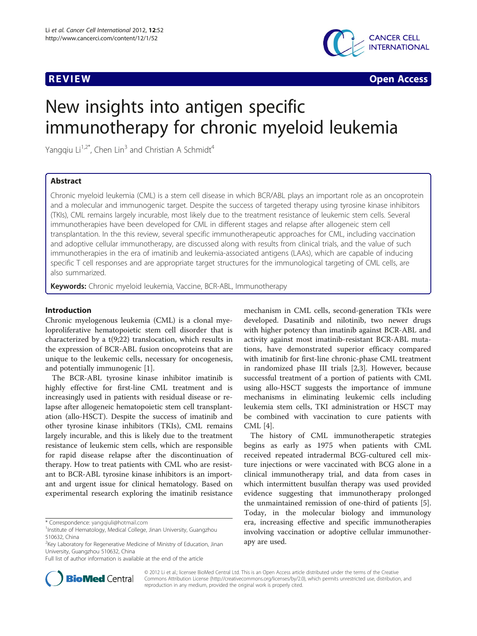



# New insights into antigen specific immunotherapy for chronic myeloid leukemia

Yangqiu  $Li^{1,2^*}$ , Chen Lin<sup>3</sup> and Christian A Schmidt<sup>4</sup>

# Abstract

Chronic myeloid leukemia (CML) is a stem cell disease in which BCR/ABL plays an important role as an oncoprotein and a molecular and immunogenic target. Despite the success of targeted therapy using tyrosine kinase inhibitors (TKIs), CML remains largely incurable, most likely due to the treatment resistance of leukemic stem cells. Several immunotherapies have been developed for CML in different stages and relapse after allogeneic stem cell transplantation. In the this review, several specific immunotherapeutic approaches for CML, including vaccination and adoptive cellular immunotherapy, are discussed along with results from clinical trials, and the value of such immunotherapies in the era of imatinib and leukemia-associated antigens (LAAs), which are capable of inducing specific T cell responses and are appropriate target structures for the immunological targeting of CML cells, are also summarized.

Keywords: Chronic myeloid leukemia, Vaccine, BCR-ABL, Immunotherapy

# Introduction

Chronic myelogenous leukemia (CML) is a clonal myeloproliferative hematopoietic stem cell disorder that is characterized by a t(9;22) translocation, which results in the expression of BCR-ABL fusion oncoproteins that are unique to the leukemic cells, necessary for oncogenesis, and potentially immunogenic [[1\]](#page-5-0).

The BCR-ABL tyrosine kinase inhibitor imatinib is highly effective for first-line CML treatment and is increasingly used in patients with residual disease or relapse after allogeneic hematopoietic stem cell transplantation (allo-HSCT). Despite the success of imatinib and other tyrosine kinase inhibitors (TKIs), CML remains largely incurable, and this is likely due to the treatment resistance of leukemic stem cells, which are responsible for rapid disease relapse after the discontinuation of therapy. How to treat patients with CML who are resistant to BCR-ABL tyrosine kinase inhibitors is an important and urgent issue for clinical hematology. Based on experimental research exploring the imatinib resistance

mechanism in CML cells, second-generation TKIs were developed. Dasatinib and nilotinib, two newer drugs with higher potency than imatinib against BCR-ABL and activity against most imatinib-resistant BCR-ABL mutations, have demonstrated superior efficacy compared with imatinib for first-line chronic-phase CML treatment in randomized phase III trials [[2,3\]](#page-5-0). However, because successful treatment of a portion of patients with CML using allo-HSCT suggests the importance of immune mechanisms in eliminating leukemic cells including leukemia stem cells, TKI administration or HSCT may be combined with vaccination to cure patients with CML [\[4\]](#page-5-0).

The history of CML immunotherapetic strategies begins as early as 1975 when patients with CML received repeated intradermal BCG-cultured cell mixture injections or were vaccinated with BCG alone in a clinical immunotherapy trial, and data from cases in which intermittent busulfan therapy was used provided evidence suggesting that immunotherapy prolonged the unmaintained remission of one-third of patients [\[5](#page-5-0)]. Today, in the molecular biology and immunology era, increasing effective and specific immunotherapies involving vaccination or adoptive cellular immunotherapy are used.



© 2012 Li et al.; licensee BioMed Central Ltd. This is an Open Access article distributed under the terms of the Creative Commons Attribution License [\(http://creativecommons.org/licenses/by/2.0\)](http://creativecommons.org/licenses/by/2.0), which permits unrestricted use, distribution, and reproduction in any medium, provided the original work is properly cited.

<sup>\*</sup> Correspondence: [yangqiuli@hotmail.com](mailto:yangqiuli@hotmail.com) <sup>1</sup>

<sup>&</sup>lt;sup>1</sup> Institute of Hematology, Medical College, Jinan University, Guangzhou 510632, China

<sup>&</sup>lt;sup>2</sup>Key Laboratory for Regenerative Medicine of Ministry of Education, Jinan University, Guangzhou 510632, China

Full list of author information is available at the end of the article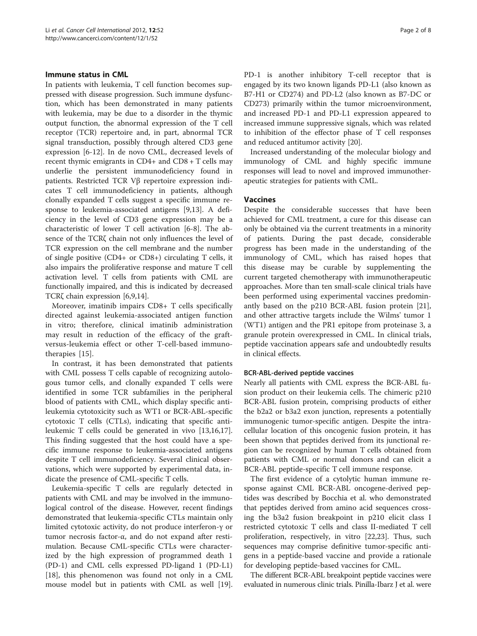## Immune status in CML

In patients with leukemia, T cell function becomes suppressed with disease progression. Such immune dysfunction, which has been demonstrated in many patients with leukemia, may be due to a disorder in the thymic output function, the abnormal expression of the T cell receptor (TCR) repertoire and, in part, abnormal TCR signal transduction, possibly through altered CD3 gene expression [[6-12](#page-6-0)]. In de novo CML, decreased levels of recent thymic emigrants in CD4+ and CD8 + T cells may underlie the persistent immunodeficiency found in patients. Restricted TCR Vβ repertoire expression indicates T cell immunodeficiency in patients, although clonally expanded T cells suggest a specific immune response to leukemia-associated antigens [\[9,13](#page-6-0)]. A deficiency in the level of CD3 gene expression may be a characteristic of lower T cell activation [[6-8](#page-6-0)]. The absence of the TCRζ chain not only influences the level of TCR expression on the cell membrane and the number of single positive (CD4+ or CD8+) circulating T cells, it also impairs the proliferative response and mature T cell activation level. T cells from patients with CML are functionally impaired, and this is indicated by decreased TCRζ chain expression [[6,9,14\]](#page-6-0).

Moreover, imatinib impairs CD8+ T cells specifically directed against leukemia-associated antigen function in vitro; therefore, clinical imatinib administration may result in reduction of the efficacy of the graftversus-leukemia effect or other T-cell-based immunotherapies [[15\]](#page-6-0).

In contrast, it has been demonstrated that patients with CML possess T cells capable of recognizing autologous tumor cells, and clonally expanded T cells were identified in some TCR subfamilies in the peripheral blood of patients with CML, which display specific antileukemia cytotoxicity such as WT1 or BCR-ABL-specific cytotoxic T cells (CTLs), indicating that specific antileukemic T cells could be generated in vivo [\[13,16,17](#page-6-0)]. This finding suggested that the host could have a specific immune response to leukemia-associated antigens despite T cell immunodeficiency. Several clinical observations, which were supported by experimental data, indicate the presence of CML-specific T cells.

Leukemia-specific T cells are regularly detected in patients with CML and may be involved in the immunological control of the disease. However, recent findings demonstrated that leukemia-specific CTLs maintain only limited cytotoxic activity, do not produce interferon-γ or tumor necrosis factor-α, and do not expand after restimulation. Because CML-specific CTLs were characterized by the high expression of programmed death 1 (PD-1) and CML cells expressed PD-ligand 1 (PD-L1) [[18\]](#page-6-0), this phenomenon was found not only in a CML mouse model but in patients with CML as well [\[19](#page-6-0)]. PD-1 is another inhibitory T-cell receptor that is engaged by its two known ligands PD-L1 (also known as B7-H1 or CD274) and PD-L2 (also known as B7-DC or CD273) primarily within the tumor microenvironment, and increased PD-1 and PD-L1 expression appeared to increased immune suppressive signals, which was related to inhibition of the effector phase of T cell responses and reduced antitumor activity [\[20](#page-6-0)].

Increased understanding of the molecular biology and immunology of CML and highly specific immune responses will lead to novel and improved immunotherapeutic strategies for patients with CML.

#### Vaccines

Despite the considerable successes that have been achieved for CML treatment, a cure for this disease can only be obtained via the current treatments in a minority of patients. During the past decade, considerable progress has been made in the understanding of the immunology of CML, which has raised hopes that this disease may be curable by supplementing the current targeted chemotherapy with immunotherapeutic approaches. More than ten small-scale clinical trials have been performed using experimental vaccines predominantly based on the p210 BCR-ABL fusion protein [\[21](#page-6-0)], and other attractive targets include the Wilms' tumor 1 (WT1) antigen and the PR1 epitope from proteinase 3, a granule protein overexpressed in CML. In clinical trials, peptide vaccination appears safe and undoubtedly results in clinical effects.

#### BCR-ABL-derived peptide vaccines

Nearly all patients with CML express the BCR-ABL fusion product on their leukemia cells. The chimeric p210 BCR-ABL fusion protein, comprising products of either the b2a2 or b3a2 exon junction, represents a potentially immunogenic tumor-specific antigen. Despite the intracellular location of this oncogenic fusion protein, it has been shown that peptides derived from its junctional region can be recognized by human T cells obtained from patients with CML or normal donors and can elicit a BCR-ABL peptide-specific T cell immune response.

The first evidence of a cytolytic human immune response against CML BCR-ABL oncogene-derived peptides was described by Bocchia et al. who demonstrated that peptides derived from amino acid sequences crossing the b3a2 fusion breakpoint in p210 elicit class I restricted cytotoxic T cells and class II-mediated T cell proliferation, respectively, in vitro [[22,23\]](#page-6-0). Thus, such sequences may comprise definitive tumor-specific antigens in a peptide-based vaccine and provide a rationale for developing peptide-based vaccines for CML.

The different BCR-ABL breakpoint peptide vaccines were evaluated in numerous clinic trials. Pinilla-Ibarz J et al. were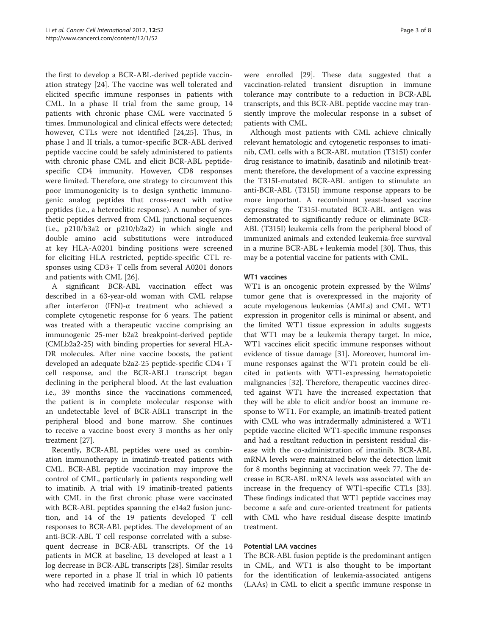the first to develop a BCR-ABL-derived peptide vaccination strategy [[24\]](#page-6-0). The vaccine was well tolerated and elicited specific immune responses in patients with CML. In a phase II trial from the same group, 14 patients with chronic phase CML were vaccinated 5 times. Immunological and clinical effects were detected; however, CTLs were not identified [[24,25](#page-6-0)]. Thus, in phase I and II trials, a tumor-specific BCR-ABL derived peptide vaccine could be safely administered to patients with chronic phase CML and elicit BCR-ABL peptidespecific CD4 immunity. However, CD8 responses were limited. Therefore, one strategy to circumvent this poor immunogenicity is to design synthetic immunogenic analog peptides that cross-react with native peptides (i.e., a heteroclitic response). A number of synthetic peptides derived from CML junctional sequences (i.e., p210/b3a2 or p210/b2a2) in which single and double amino acid substitutions were introduced at key HLA-A0201 binding positions were screened for eliciting HLA restricted, peptide-specific CTL responses using CD3+ T cells from several A0201 donors and patients with CML [[26\]](#page-6-0).

A significant BCR-ABL vaccination effect was described in a 63-year-old woman with CML relapse after interferon (IFN)-α treatment who achieved a complete cytogenetic response for 6 years. The patient was treated with a therapeutic vaccine comprising an immunogenic 25-mer b2a2 breakpoint-derived peptide (CMLb2a2-25) with binding properties for several HLA-DR molecules. After nine vaccine boosts, the patient developed an adequate b2a2-25 peptide-specific CD4+ T cell response, and the BCR-ABL1 transcript began declining in the peripheral blood. At the last evaluation i.e., 39 months since the vaccinations commenced, the patient is in complete molecular response with an undetectable level of BCR-ABL1 transcript in the peripheral blood and bone marrow. She continues to receive a vaccine boost every 3 months as her only treatment [[27\]](#page-6-0).

Recently, BCR-ABL peptides were used as combination immunotherapy in imatinib-treated patients with CML. BCR-ABL peptide vaccination may improve the control of CML, particularly in patients responding well to imatinib. A trial with 19 imatinib-treated patients with CML in the first chronic phase were vaccinated with BCR-ABL peptides spanning the e14a2 fusion junction, and 14 of the 19 patients developed T cell responses to BCR-ABL peptides. The development of an anti-BCR-ABL T cell response correlated with a subsequent decrease in BCR-ABL transcripts. Of the 14 patients in MCR at baseline, 13 developed at least a 1 log decrease in BCR-ABL transcripts [[28\]](#page-6-0). Similar results were reported in a phase II trial in which 10 patients who had received imatinib for a median of 62 months

were enrolled [\[29\]](#page-6-0). These data suggested that a vaccination-related transient disruption in immune tolerance may contribute to a reduction in BCR-ABL transcripts, and this BCR-ABL peptide vaccine may transiently improve the molecular response in a subset of patients with CML.

Although most patients with CML achieve clinically relevant hematologic and cytogenetic responses to imatinib, CML cells with a BCR-ABL mutation (T315I) confer drug resistance to imatinib, dasatinib and nilotinib treatment; therefore, the development of a vaccine expressing the T315I-mutated BCR-ABL antigen to stimulate an anti-BCR-ABL (T315I) immune response appears to be more important. A recombinant yeast-based vaccine expressing the T315I-mutated BCR-ABL antigen was demonstrated to significantly reduce or eliminate BCR-ABL (T315I) leukemia cells from the peripheral blood of immunized animals and extended leukemia-free survival in a murine BCR-ABL + leukemia model [[30\]](#page-6-0). Thus, this may be a potential vaccine for patients with CML.

# WT1 vaccines

WT1 is an oncogenic protein expressed by the Wilms' tumor gene that is overexpressed in the majority of acute myelogenous leukemias (AMLs) and CML. WT1 expression in progenitor cells is minimal or absent, and the limited WT1 tissue expression in adults suggests that WT1 may be a leukemia therapy target. In mice, WT1 vaccines elicit specific immune responses without evidence of tissue damage [\[31](#page-6-0)]. Moreover, humoral immune responses against the WT1 protein could be elicited in patients with WT1-expressing hematopoietic malignancies [[32\]](#page-6-0). Therefore, therapeutic vaccines directed against WT1 have the increased expectation that they will be able to elicit and/or boost an immune response to WT1. For example, an imatinib-treated patient with CML who was intradermally administered a WT1 peptide vaccine elicited WT1-specific immune responses and had a resultant reduction in persistent residual disease with the co-administration of imatinib. BCR-ABL mRNA levels were maintained below the detection limit for 8 months beginning at vaccination week 77. The decrease in BCR-ABL mRNA levels was associated with an increase in the frequency of WT1-specific CTLs [\[33](#page-6-0)]. These findings indicated that WT1 peptide vaccines may become a safe and cure-oriented treatment for patients with CML who have residual disease despite imatinib treatment.

#### Potential LAA vaccines

The BCR-ABL fusion peptide is the predominant antigen in CML, and WT1 is also thought to be important for the identification of leukemia-associated antigens (LAAs) in CML to elicit a specific immune response in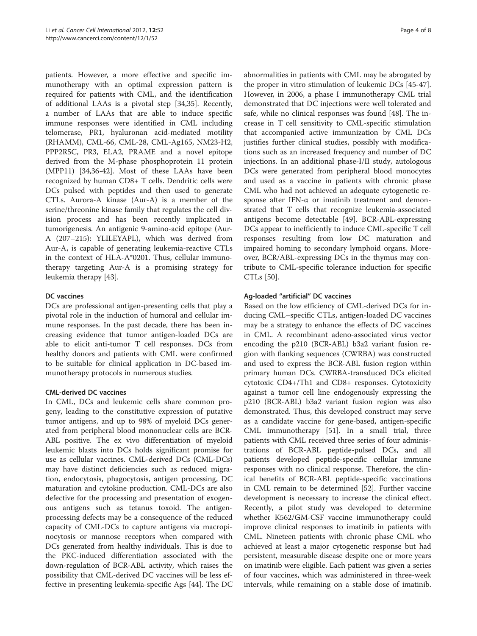patients. However, a more effective and specific immunotherapy with an optimal expression pattern is required for patients with CML, and the identification of additional LAAs is a pivotal step [\[34,35](#page-6-0)]. Recently, a number of LAAs that are able to induce specific immune responses were identified in CML including telomerase, PR1, hyaluronan acid-mediated motility (RHAMM), CML-66, CML-28, CML-Ag165, NM23-H2, PPP2R5C, PR3, ELA2, PRAME and a novel epitope derived from the M-phase phosphoprotein 11 protein (MPP11) [\[34,36-42](#page-6-0)]. Most of these LAAs have been recognized by human CD8+ T cells. Dendritic cells were DCs pulsed with peptides and then used to generate CTLs. Aurora-A kinase (Aur-A) is a member of the serine/threonine kinase family that regulates the cell division process and has been recently implicated in tumorigenesis. An antigenic 9-amino-acid epitope (Aur-A (207–215): YLILEYAPL), which was derived from Aur-A, is capable of generating leukemia-reactive CTLs in the context of HLA-A\*0201. Thus, cellular immunotherapy targeting Aur-A is a promising strategy for leukemia therapy [\[43\]](#page-6-0).

# DC vaccines

DCs are professional antigen-presenting cells that play a pivotal role in the induction of humoral and cellular immune responses. In the past decade, there has been increasing evidence that tumor antigen-loaded DCs are able to elicit anti-tumor T cell responses. DCs from healthy donors and patients with CML were confirmed to be suitable for clinical application in DC-based immunotherapy protocols in numerous studies.

# CML-derived DC vaccines

In CML, DCs and leukemic cells share common progeny, leading to the constitutive expression of putative tumor antigens, and up to 98% of myeloid DCs generated from peripheral blood mononuclear cells are BCR-ABL positive. The ex vivo differentiation of myeloid leukemic blasts into DCs holds significant promise for use as cellular vaccines. CML-derived DCs (CML-DCs) may have distinct deficiencies such as reduced migration, endocytosis, phagocytosis, antigen processing, DC maturation and cytokine production. CML-DCs are also defective for the processing and presentation of exogenous antigens such as tetanus toxoid. The antigenprocessing defects may be a consequence of the reduced capacity of CML-DCs to capture antigens via macropinocytosis or mannose receptors when compared with DCs generated from healthy individuals. This is due to the PKC-induced differentiation associated with the down-regulation of BCR-ABL activity, which raises the possibility that CML-derived DC vaccines will be less effective in presenting leukemia-specific Ags [[44\]](#page-7-0). The DC

abnormalities in patients with CML may be abrogated by the proper in vitro stimulation of leukemic DCs [\[45-47](#page-7-0)]. However, in 2006, a phase I immunotherapy CML trial demonstrated that DC injections were well tolerated and safe, while no clinical responses was found [[48\]](#page-7-0). The increase in T cell sensitivity to CML-specific stimulation that accompanied active immunization by CML DCs justifies further clinical studies, possibly with modifications such as an increased frequency and number of DC injections. In an additional phase-I/II study, autologous DCs were generated from peripheral blood monocytes and used as a vaccine in patients with chronic phase CML who had not achieved an adequate cytogenetic response after IFN-α or imatinib treatment and demonstrated that T cells that recognize leukemia-associated antigens become detectable [\[49](#page-7-0)]. BCR-ABL-expressing DCs appear to inefficiently to induce CML-specific T cell responses resulting from low DC maturation and impaired homing to secondary lymphoid organs. Moreover, BCR/ABL-expressing DCs in the thymus may contribute to CML-specific tolerance induction for specific CTLs [[50](#page-7-0)].

# Ag-loaded "artificial" DC vaccines

Based on the low efficiency of CML-derived DCs for inducing CML–specific CTLs, antigen-loaded DC vaccines may be a strategy to enhance the effects of DC vaccines in CML. A recombinant adeno-associated virus vector encoding the p210 (BCR-ABL) b3a2 variant fusion region with flanking sequences (CWRBA) was constructed and used to express the BCR-ABL fusion region within primary human DCs. CWRBA-transduced DCs elicited cytotoxic CD4+/Th1 and CD8+ responses. Cytotoxicity against a tumor cell line endogenously expressing the p210 (BCR-ABL) b3a2 variant fusion region was also demonstrated. Thus, this developed construct may serve as a candidate vaccine for gene-based, antigen-specific CML immunotherapy [\[51\]](#page-7-0). In a small trial, three patients with CML received three series of four administrations of BCR-ABL peptide-pulsed DCs, and all patients developed peptide-specific cellular immune responses with no clinical response. Therefore, the clinical benefits of BCR-ABL peptide-specific vaccinations in CML remain to be determined [\[52](#page-7-0)]. Further vaccine development is necessary to increase the clinical effect. Recently, a pilot study was developed to determine whether K562/GM-CSF vaccine immunotherapy could improve clinical responses to imatinib in patients with CML. Nineteen patients with chronic phase CML who achieved at least a major cytogenetic response but had persistent, measurable disease despite one or more years on imatinib were eligible. Each patient was given a series of four vaccines, which was administered in three-week intervals, while remaining on a stable dose of imatinib.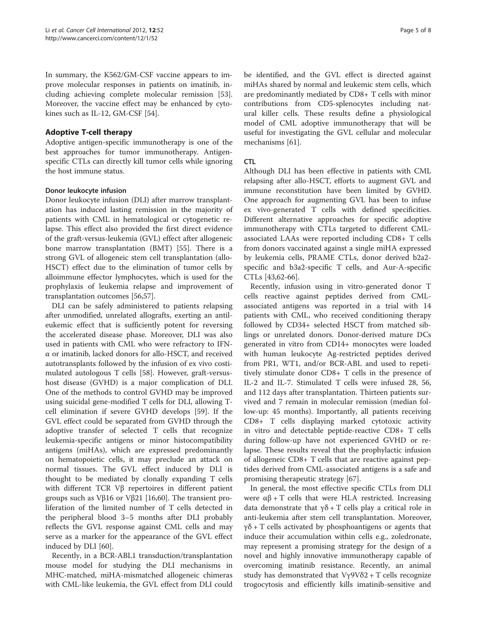In summary, the K562/GM-CSF vaccine appears to improve molecular responses in patients on imatinib, including achieving complete molecular remission [\[53](#page-7-0)]. Moreover, the vaccine effect may be enhanced by cytokines such as IL-12, GM-CSF [[54](#page-7-0)].

# Adoptive T-cell therapy

Adoptive antigen-specific immunotherapy is one of the best approaches for tumor immunotherapy. Antigenspecific CTLs can directly kill tumor cells while ignoring the host immune status.

# Donor leukocyte infusion

Donor leukocyte infusion (DLI) after marrow transplantation has induced lasting remission in the majority of patients with CML in hematological or cytogenetic relapse. This effect also provided the first direct evidence of the graft-versus-leukemia (GVL) effect after allogeneic bone marrow transplantation (BMT) [[55\]](#page-7-0). There is a strong GVL of allogeneic stem cell transplantation (allo-HSCT) effect due to the elimination of tumor cells by alloimmune effector lymphocytes, which is used for the prophylaxis of leukemia relapse and improvement of transplantation outcomes [\[56,57\]](#page-7-0).

DLI can be safely administered to patients relapsing after unmodified, unrelated allografts, exerting an antileukemic effect that is sufficiently potent for reversing the accelerated disease phase. Moreover, DLI was also used in patients with CML who were refractory to IFNα or imatinib, lacked donors for allo-HSCT, and received autotransplants followed by the infusion of ex vivo costimulated autologous T cells [[58](#page-7-0)]. However, graft-versushost disease (GVHD) is a major complication of DLI. One of the methods to control GVHD may be improved using suicidal gene-modified T cells for DLI, allowing Tcell elimination if severe GVHD develops [\[59\]](#page-7-0). If the GVL effect could be separated from GVHD through the adoptive transfer of selected T cells that recognize leukemia-specific antigens or minor histocompatibility antigens (miHAs), which are expressed predominantly on hematopoietic cells, it may preclude an attack on normal tissues. The GVL effect induced by DLI is thought to be mediated by clonally expanding T cells with different TCR Vβ repertoires in different patient groups such as Vβ16 or Vβ21 [[16](#page-6-0),[60](#page-7-0)]. The transient proliferation of the limited number of T cells detected in the peripheral blood 3–5 months after DLI probably reflects the GVL response against CML cells and may serve as a marker for the appearance of the GVL effect induced by DLI [[60](#page-7-0)].

Recently, in a BCR-ABL1 transduction/transplantation mouse model for studying the DLI mechanisms in MHC-matched, miHA-mismatched allogeneic chimeras with CML-like leukemia, the GVL effect from DLI could

be identified, and the GVL effect is directed against miHAs shared by normal and leukemic stem cells, which are predominantly mediated by CD8+ T cells with minor contributions from CD5-splenocytes including natural killer cells. These results define a physiological model of CML adoptive immunotherapy that will be useful for investigating the GVL cellular and molecular mechanisms [\[61](#page-7-0)].

# CTL

Although DLI has been effective in patients with CML relapsing after allo-HSCT, efforts to augment GVL and immune reconstitution have been limited by GVHD. One approach for augmenting GVL has been to infuse ex vivo-generated T cells with defined specificities. Different alternative approaches for specific adoptive immunotherapy with CTLs targeted to different CMLassociated LAAs were reported including CD8+ T cells from donors vaccinated against a single miHA expressed by leukemia cells, PRAME CTLs, donor derived b2a2 specific and b3a2-specific T cells, and Aur-A-specific CTLs [[43](#page-6-0),[62](#page-7-0)-[66\]](#page-7-0).

Recently, infusion using in vitro-generated donor T cells reactive against peptides derived from CMLassociated antigens was reported in a trial with 14 patients with CML, who received conditioning therapy followed by CD34+ selected HSCT from matched siblings or unrelated donors. Donor-derived mature DCs generated in vitro from CD14+ monocytes were loaded with human leukocyte Ag-restricted peptides derived from PR1, WT1, and/or BCR-ABL and used to repetitively stimulate donor CD8+ T cells in the presence of IL-2 and IL-7. Stimulated T cells were infused 28, 56, and 112 days after transplantation. Thirteen patients survived and 7 remain in molecular remission (median follow-up: 45 months). Importantly, all patients receiving CD8+ T cells displaying marked cytotoxic activity in vitro and detectable peptide-reactive CD8+ T cells during follow-up have not experienced GVHD or relapse. These results reveal that the prophylactic infusion of allogeneic CD8+ T cells that are reactive against peptides derived from CML-associated antigens is a safe and promising therapeutic strategy [[67](#page-7-0)].

In general, the most effective specific CTLs from DLI were  $αβ + T$  cells that were HLA restricted. Increasing data demonstrate that  $γδ + T$  cells play a critical role in anti-leukemia after stem cell transplantation. Moreover,  $\gamma\delta$  + T cells activated by phosphoantigens or agents that induce their accumulation within cells e.g., zoledronate, may represent a promising strategy for the design of a novel and highly innovative immunotherapy capable of overcoming imatinib resistance. Recently, an animal study has demonstrated that  $V\gamma9V\delta2 + T$  cells recognize trogocytosis and efficiently kills imatinib-sensitive and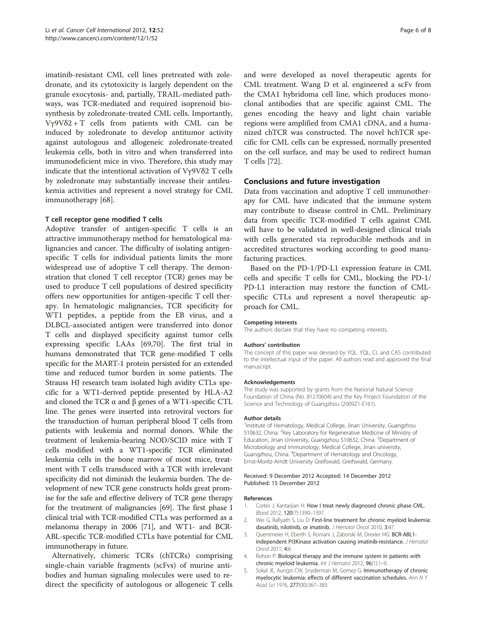<span id="page-5-0"></span>imatinib-resistant CML cell lines pretreated with zoledronate, and its cytotoxicity is largely dependent on the granule exocytosis- and, partially, TRAIL-mediated pathways, was TCR-mediated and required isoprenoid biosynthesis by zoledronate-treated CML cells. Importantly, Vγ9Vδ2 + T cells from patients with CML can be induced by zoledronate to develop antitumor activity against autologous and allogeneic zoledronate-treated leukemia cells, both in vitro and when transferred into immunodeficient mice in vivo. Therefore, this study may indicate that the intentional activation of Vγ9Vδ2 T cells by zoledronate may substantially increase their antileukemia activities and represent a novel strategy for CML immunotherapy [\[68\]](#page-7-0).

#### T cell receptor gene modified T cells

Adoptive transfer of antigen-specific T cells is an attractive immunotherapy method for hematological malignancies and cancer. The difficulty of isolating antigenspecific T cells for individual patients limits the more widespread use of adoptive T cell therapy. The demonstration that cloned T cell receptor (TCR) genes may be used to produce T cell populations of desired specificity offers new opportunities for antigen-specific T cell therapy. In hematologic malignancies, TCR specificity for WT1 peptides, a peptide from the EB virus, and a DLBCL-associated antigen were transferred into donor T cells and displayed specificity against tumor cells expressing specific LAAs [\[69,70\]](#page-7-0). The first trial in humans demonstrated that TCR gene-modified T cells specific for the MART-1 protein persisted for an extended time and reduced tumor burden in some patients. The Strauss HJ research team isolated high avidity CTLs specific for a WT1-derived peptide presented by HLA-A2 and cloned the TCR  $\alpha$  and  $\beta$  genes of a WT1-specific CTL line. The genes were inserted into retroviral vectors for the transduction of human peripheral blood T cells from patients with leukemia and normal donors. While the treatment of leukemia-bearing NOD/SCID mice with T cells modified with a WT1-specific TCR eliminated leukemia cells in the bone marrow of most mice, treatment with T cells transduced with a TCR with irrelevant specificity did not diminish the leukemia burden. The development of new TCR gene constructs holds great promise for the safe and effective delivery of TCR gene therapy for the treatment of malignancies [\[69\]](#page-7-0). The first phase I clinical trial with TCR-modified CTLs was performed as a melanoma therapy in 2006 [\[71\]](#page-7-0), and WT1- and BCR-ABL-specific TCR-modified CTLs have potential for CML immunotherapy in future.

Alternatively, chimeric TCRs (chTCRs) comprising single-chain variable fragments (scFvs) of murine antibodies and human signaling molecules were used to redirect the specificity of autologous or allogeneic T cells and were developed as novel therapeutic agents for CML treatment. Wang D et al. engineered a scFv from the CMA1 hybridoma cell line, which produces monoclonal antibodies that are specific against CML. The genes encoding the heavy and light chain variable regions were amplified from CMA1 cDNA, and a humanized chTCR was constructed. The novel hchTCR specific for CML cells can be expressed, normally presented on the cell surface, and may be used to redirect human T cells [\[72\]](#page-7-0).

# Conclusions and future investigation

Data from vaccination and adoptive T cell immunotherapy for CML have indicated that the immune system may contribute to disease control in CML. Preliminary data from specific TCR-modified T cells against CML will have to be validated in well-designed clinical trials with cells generated via reproducible methods and in accredited structures working according to good manufacturing practices.

Based on the PD-1/PD-L1 expression feature in CML cells and specific T cells for CML, blocking the PD-1/ PD-L1 interaction may restore the function of CMLspecific CTLs and represent a novel therapeutic approach for CML.

#### Competing interests

The authors declare that they have no competing interests.

#### Authors' contribution

The concept of this paper was devised by YQL. YQL, CL and CAS contributed to the intellectual input of the paper. All authors read and approved the final manuscript.

#### Acknowledgements

The study was supported by grants from the National Natural Science Foundation of China (No. 81270604) and the Key Project Foundation of the Science and Technology of Guangzhou (2009Z1-E161).

#### Author details

<sup>1</sup>Institute of Hematology, Medical College, Jinan University, Guangzhou 510632, China. <sup>2</sup> Key Laboratory for Regenerative Medicine of Ministry of Education, Jinan University, Guangzhou 510632, China. <sup>3</sup>Department of Microbiology and Immunology, Medical College, Jinan university, Guangzhou, China. <sup>4</sup> Department of Hematology and Oncology, Ernst-Moritz-Arndt University Greifswald, Greifswald, Germany.

#### Received: 9 December 2012 Accepted: 14 December 2012 Published: 15 December 2012

#### References

- 1. Cortes J, Kantarjian H: How I treat newly diagnosed chronic phase CML. Blood 2012, 120(7):1390–1397.
- 2. Wei G, Rafiyath S, Liu D: First-line treatment for chronic myeloid leukemia: dasatinib, nilotinib, or imatinib. J Hematol Oncol 2010, 3:47
- 3. Quentmeier H, Eberth S, Romani J, Zaborski M, Drexler HG: BCR-ABL1 independent PI3Kinase activation causing imatinib-resistance. J Hematol Oncol 2011, 4:6.
- 4. Rohon P: Biological therapy and the immune system in patients with chronic myeloid leukemia. Int J Hematol 2012, 96(1):1-9.
- 5. Sokal JE, Aungst CW, Snyderman M, Gomez G: Immunotherapy of chronic myelocytic leukemia: effects of different vaccination schedules. Ann N Y Acad Sci 1976, 277(00):367–383.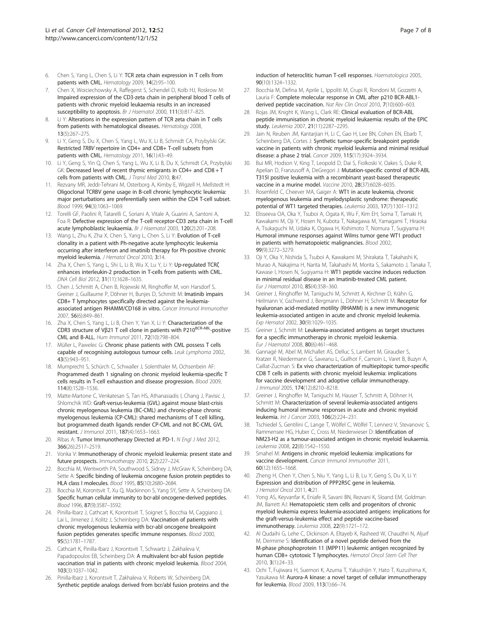- <span id="page-6-0"></span>6. Chen S, Yang L, Chen S, Li Y: TCR zeta chain expression in T cells from patients with CML. Hematology 2009, 14(2):95–100.
- 7. Chen X, Woiciechowsky A, Raffegerst S, Schendel D, Kolb HJ, Roskrow M: Impaired expression of the CD3-zeta chain in peripheral blood T cells of patients with chronic myeloid leukaemia results in an increased susceptibility to apoptosis. Br J Haematol 2000, 111(3):817-825.
- 8. Li Y: Alterations in the expression pattern of TCR zeta chain in T cells from patients with hematological diseases. Hematology 2008, 13(5):267–275.
- 9. Li Y, Geng S, Du X, Chen S, Yang L, Wu X, Li B, Schmidt CA, Przybylski GK: Restricted TRBV repertoire in CD4+ and CD8+ T-cell subsets from patients with CML. Hematology 2011, 16(1):43–49.
- 10. Li Y, Geng S, Yin Q, Chen S, Yang L, Wu X, Li B, Du X, Schmidt CA, Przybylski GK: Decreased level of recent thymic emigrants in CD4+ and CD8 + T cells from patients with CML. J Transl Med 2010, 8:47.
- 11. Rezvany MR, Jeddi-Tehrani M, Osterborg A, Kimby E, Wigzell H, Mellstedt H: Oligoclonal TCRBV gene usage in B-cell chronic lymphocytic leukemia: major perturbations are preferentially seen within the CD4 T-cell subset. Blood 1999, 94(3):1063–1069.
- 12. Torelli GF, Paolini R, Tatarelli C, Soriani A, Vitale A, Guarini A, Santoni A, Foa R: Defective expression of the T-cell receptor-CD3 zeta chain in T-cell acute lymphoblastic leukaemia. Br J Haematol 2003, 120(2):201–208.
- 13. Wang L, Zhu K, Zha X, Chen S, Yang L, Chen S, Li Y: Evolution of T-cell clonality in a patient with Ph-negative acute lymphocytic leukemia occurring after interferon and imatinib therapy for Ph-positive chronic myeloid leukemia. J Hematol Oncol 2010, 3:14.
- 14. Zha X, Chen S, Yang L, Shi L, Li B, Wu X, Lu Y, Li Y: Up-regulated TCR enhances interleukin-2 production in T-cells from patients with CML. DNA Cell Biol 2012, 31(11):1628–1635.
- 15. Chen J, Schmitt A, Chen B, Rojewski M, Ringhoffer M, von Harsdorf S, Greiner J, Guillaume P, Döhner H, Bunjes D, Schmitt M: Imatinib impairs CD8+ T lymphocytes specifically directed against the leukemiaassociated antigen RHAMM/CD168 in vitro. Cancer Immunol Immunother 2007, 56(6):849–861.
- 16. Zha X, Chen S, Yang L, Li B, Chen Y, Yan X, Li Y: Characterization of the CDR3 structure of Vβ21 T cell clone in patients with P210<sup>BCR-ABL</sup>-positive CML and B-ALL. Hum Immunol 2011, 72(10):798–804.
- 17. Müller L, Pawelec G: Chronic phase patients with CML possess T cells capable of recognising autologous tumour cells. Leuk Lymphoma 2002, 43(5):943–951.
- 18. Mumprecht S, Schürch C, Schwaller J, Solenthaler M, Ochsenbein AF: Programmed death 1 signaling on chronic myeloid leukemia-specific T cells results in T-cell exhaustion and disease progression. Blood 2009, 114(8):1528–1536.
- 19. Matte-Martone C, Venkatesan S, Tan HS, Athanasiadis I, Chang J, Pavisic J, Shlomchik WD: Graft-versus-leukemia (GVL) against mouse blast-crisis chronic myelogenous leukemia (BC-CML) and chronic-phase chronic myelogenous leukemia (CP-CML): shared mechanisms of T cell killing, but programmed death ligands render CP-CML and not BC-CML GVL resistant. J Immunol 2011, 187(4):1653–1663.
- 20. Ribas A: Tumor Immunotherapy Directed at PD-1. N Engl J Med 2012, 366(26):2517–2519.
- 21. Vonka V: Immunotherapy of chronic myeloid leukemia: present state and future prospects. Immunotherapy 2010, 2(2):227–224.
- 22. Bocchia M, Wentworth PA, Southwood S, Sidney J, McGraw K, Scheinberg DA, Sette A: Specific binding of leukemia oncogene fusion protein peptides to HLA class I molecules. Blood 1995, 85(10):2680–2684.
- 23. Bocchia M, Korontsvit T, Xu Q, Mackinnon S, Yang SY, Sette A, Scheinberg DA: Specific human cellular immunity to bcr-abl oncogene-derived peptides. Blood 1996, 87(9):3587–3592.
- 24. Pinilla-Ibarz J, Cathcart K, Korontsvit T, Soignet S, Bocchia M, Caggiano J, Lai L, Jimenez J, Kolitz J, Scheinberg DA: Vaccination of patients with chronic myelogenous leukemia with bcr-abl oncogene breakpoint fusion peptides generates specific immune responses. Blood 2000, 95(5):1781–1787.
- 25. Cathcart K, Pinilla-Ibarz J, Korontsvit T, Schwartz J, Zakhaleva V, Papadopoulos EB, Scheinberg DA: A multivalent bcr-abl fusion peptide vaccination trial in patients with chronic myeloid leukemia. Blood 2004, 103(3):1037–1042.
- 26. Pinilla-Ibarz J, Korontsvit T, Zakhaleva V, Roberts W, Scheinberg DA: Synthetic peptide analogs derived from bcr/abl fusion proteins and the

induction of heteroclitic human T-cell responses. Haematologica 2005, 90(10):1324–1332.

- 27. Bocchia M, Defina M, Aprile L, Ippoliti M, Crupi R, Rondoni M, Gozzetti A, Lauria F: Complete molecular response in CML after p210 BCR-ABL1 derived peptide vaccination. Nat Rev Clin Oncol 2010, 7(10):600-603.
- 28. Rojas JM, Knight K, Wang L, Clark RE: Clinical evaluation of BCR-ABL peptide immunisation in chronic myeloid leukaemia: results of the EPIC study. Leukemia 2007, 21(11):2287–2295.
- 29. Jain N, Reuben JM, Kantarjian H, Li C, Gao H, Lee BN, Cohen EN, Ebarb T, Scheinberg DA, Cortes J: Synthetic tumor-specific breakpoint peptide vaccine in patients with chronic myeloid leukemia and minimal residual disease: a phase 2 trial. Cancer 2009, 115(17):3924–3934.
- 30. Bui MR, Hodson V, King T, Leopold D, Dai S, Fiolkoski V, Oakes S, Duke R, Apelian D, Franzusoff A, DeGregori J: Mutation-specific control of BCR-ABL T315I positive leukemia with a recombinant yeast-based therapeutic vaccine in a murine model. Vaccine 2010, 28(37):6028–6035.
- 31. Rosenfeld C, Cheever MA, Gaiger A: WT1 in acute leukemia, chronic myelogenous leukemia and myelodysplastic syndrome: therapeutic potential of WT1 targeted therapies. Leukemia 2003, 17(7):1301–1312.
- 32. Elisseeva OA, Oka Y, Tsuboi A, Ogata K, Wu F, Kim EH, Soma T, Tamaki H, Kawakami M, Oji Y, Hosen N, Kubota T, Nakagawa M, Yamagami T, Hiraoka A, Tsukaguchi M, Udaka K, Ogawa H, Kishimoto T, Nomura T, Sugiyama H: Humoral immune responses against Wilms tumor gene WT1 product in patients with hematopoietic malignancies. Blood 2002, 99(9):3272–3279.
- 33. Oji Y, Oka Y, Nishida S, Tsuboi A, Kawakami M, Shirakata T, Takahashi K, Murao A, Nakajima H, Narita M, Takahashi M, Morita S, Sakamoto J, Tanaka T, Kawase I, Hosen N, Sugiyama H: WT1 peptide vaccine induces reduction in minimal residual disease in an Imatinib-treated CML patient. Eur J Haematol 2010, 85(4):358–360.
- 34. Greiner J, Ringhoffer M, Taniguchi M, Schmitt A, Kirchner D, Krähn G, Heilmann V, Gschwend J, Bergmann L, Döhner H, Schmitt M: Receptor for hyaluronan acid-mediated motility (RHAMM) is a new immunogenic leukemia-associated antigen in acute and chronic myeloid leukemia. Exp Hematol 2002, 30(9):1029–1035.
- 35. Greiner J, Schmitt M: Leukemia-associated antigens as target structures for a specific immunotherapy in chronic myeloid leukemia. Eur J Haematol 2008, 80(6):461–468.
- 36. Gannagé M, Abel M, Michallet AS, Delluc S, Lambert M, Giraudier S, Kratzer R, Niedermann G, Saveanu L, Guilhot F, Camoin L, Varet B, Buzyn A, Caillat-Zucman S: Ex vivo characterization of multiepitopic tumor-specific CD8 T cells in patients with chronic myeloid leukemia: implications for vaccine development and adoptive cellular immunotherapy. J Immunol 2005, 174(12):8210–8218.
- 37. Greiner J, Ringhoffer M, Taniguchi M, Hauser T, Schmitt A, Döhner H, Schmitt M: Characterization of several leukemia-associated antigens inducing humoral immune responses in acute and chronic myeloid leukemia. Int J Cancer 2003, 106(2):224–231.
- 38. Tschiedel S, Gentilini C, Lange T, Wölfel C, Wölfel T, Lennerz V, Stevanovic S, Rammensee HG, Huber C, Cross M, Niederwieser D: Identification of NM23-H2 as a tumour-associated antigen in chronic myeloid leukaemia. Leukemia 2008, 22(8):1542–1550.
- 39. Smahel M: Antigens in chronic myeloid leukemia: implications for vaccine development. Cancer Immunol Immunother 2011, 60(12):1655–1668.
- 40. Zheng H, Chen Y, Chen S, Niu Y, Yang L, Li B, Lu Y, Geng S, Du X, Li Y: Expression and distribution of PPP2R5C gene in leukemia. J Hematol Oncol 2011, 4:21.
- 41. Yong AS, Keyvanfar K, Eniafe R, Savani BN, Rezvani K, Sloand EM, Goldman JM, Barrett AJ: Hematopoietic stem cells and progenitors of chronic myeloid leukemia express leukemia-associated antigens: implications for the graft-versus-leukemia effect and peptide vaccine-based immunotherapy. Leukemia 2008, 22(9):1721–172.
- 42. Al Qudaihi G, Lehe C, Dickinson A, Eltayeb K, Rasheed W, Chaudhri N, Aljurf M, Dermime S: Identification of a novel peptide derived from the M-phase phosphoprotein 11 (MPP11) leukemic antigen recognized by human CD8+ cytotoxic T lymphocytes. Hematol Oncol Stem Cell Ther 2010, 3(1):24–33.
- 43. Ochi T, Fujiwara H, Suemori K, Azuma T, Yakushijin Y, Hato T, Kuzushima K, Yasukawa M: Aurora-A kinase: a novel target of cellular immunotherapy for leukemia. Blood 2009, 113(1):66–74.